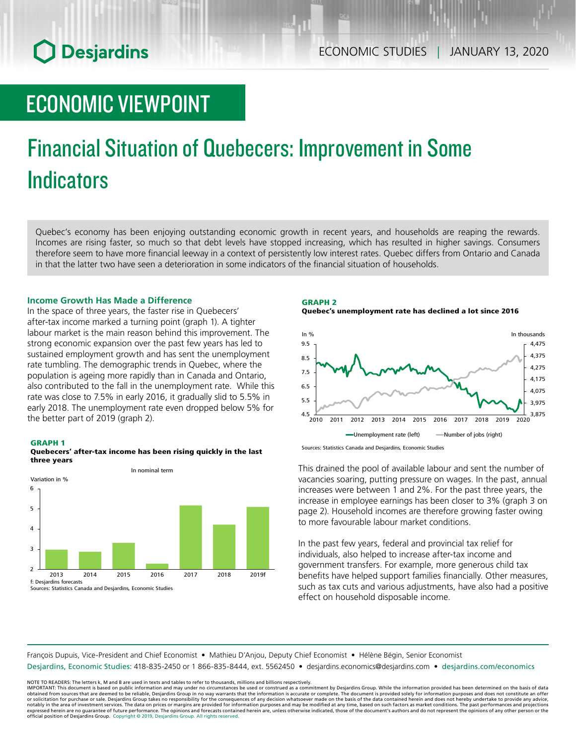# **O** Desjardins

# ECONOMIC VIEWPOINT

# Financial Situation of Quebecers: Improvement in Some **Indicators**

Quebec's economy has been enjoying outstanding economic growth in recent years, and households are reaping the rewards. Incomes are rising faster, so much so that debt levels have stopped increasing, which has resulted in higher savings. Consumers therefore seem to have more financial leeway in a context of persistently low interest rates. Quebec differs from Ontario and Canada in that the latter two have seen a deterioration in some indicators of the financial situation of households.

### **Income Growth Has Made a Difference**

In the space of three years, the faster rise in Quebecers' after-tax income marked a turning point (graph 1). A tighter labour market is the main reason behind this improvement. The strong economic expansion over the past few years has led to sustained employment growth and has sent the unemployment rate tumbling. The demographic trends in Quebec, where the population is ageing more rapidly than in Canada and Ontario, also contributed to the fall in the unemployment rate. While this rate was close to 7.5% in early 2016, it gradually slid to 5.5% in early 2018. The unemployment rate even dropped below 5% for the better part of 2019 (graph 2).





GRAPH 2







This drained the pool of available labour and sent the number of vacancies soaring, putting pressure on wages. In the past, annual increases were between 1 and 2%. For the past three years, the increase in employee earnings has been closer to 3% (graph 3 on page 2). Household incomes are therefore growing faster owing to more favourable labour market conditions.

In the past few years, federal and provincial tax relief for individuals, also helped to increase after-tax income and government transfers. For example, more generous child tax benefits have helped support families financially. Other measures, such as tax cuts and various adjustments, have also had a positive effect on household disposable income.

François Dupuis, Vice-President and Chief Economist • Mathieu D'Anjou, Deputy Chief Economist • Hélène Bégin, Senior Economist

Desjardins, Economic Studies: 418-835-2450 or 1 866-835-8444, ext. 5562450 • desjardins.economics@desjardins.com • desjardins.com/economics

NOTE TO READERS: The letters k, M and B are used in texts and tables to refer to thousands, millions and billions respectively.<br>IMPORTANT: This document is based on public information and may under no circumstances be used obtained from sources that are deemed to be reliable, Desjardins Group in no way warrants that the information is accurate or complete. The document is provided solely for information purposes and does not constitute an of expressed herein are no guarantee of future performance. The opinions and forecasts contained herein are, unless otherwise indicated, those of the document's authors and do not represent the opinions of any other person or official position of Desjardins Group. Copyright © 2019, Desjardins Group. All rights reserved.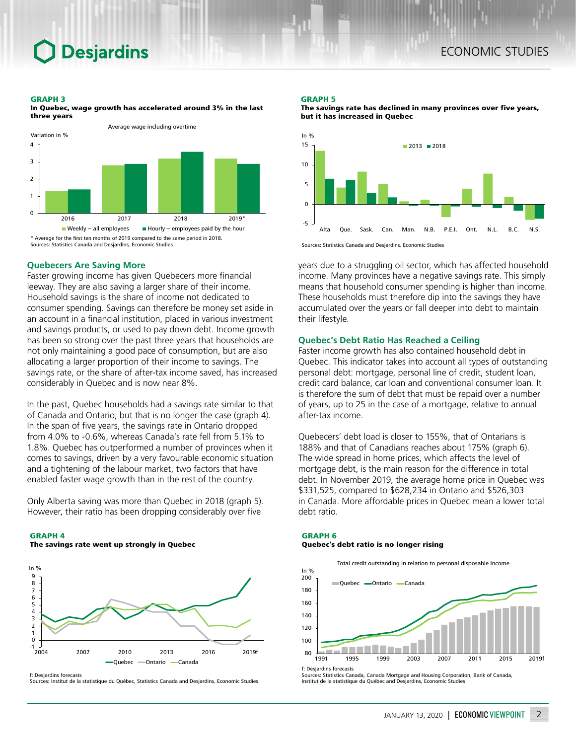# **Desjardins**

#### GRAPH 3



In Quebec, wage growth has accelerated around 3% in the last three years

### **Quebecers Are Saving More**

Faster growing income has given Quebecers more financial leeway. They are also saving a larger share of their income. Household savings is the share of income not dedicated to consumer spending. Savings can therefore be money set aside in an account in a financial institution, placed in various investment and savings products, or used to pay down debt. Income growth has been so strong over the past three years that households are not only maintaining a good pace of consumption, but are also allocating a larger proportion of their income to savings. The savings rate, or the share of after-tax income saved, has increased considerably in Quebec and is now near 8%.

In the past, Quebec households had a savings rate similar to that of Canada and Ontario, but that is no longer the case (graph 4). In the span of five years, the savings rate in Ontario dropped from 4.0% to -0.6%, whereas Canada's rate fell from 5.1% to 1.8%. Quebec has outperformed a number of provinces when it comes to savings, driven by a very favourable economic situation and a tightening of the labour market, two factors that have enabled faster wage growth than in the rest of the country.

Only Alberta saving was more than Quebec in 2018 (graph 5). However, their ratio has been dropping considerably over five

#### GRAPH 4

The savings rate went up strongly in Quebec



f: Desjardins forecasts

Sources: Institut de la statistique du Québec, Statistics Canada and Desjardins, Economic Studies

#### GRAPH 5





Sources: Statistics Canada and Desjardins, Economic Studies

years due to a struggling oil sector, which has affected household income. Many provinces have a negative savings rate. This simply means that household consumer spending is higher than income. These households must therefore dip into the savings they have accumulated over the years or fall deeper into debt to maintain their lifestyle.

## **Quebec's Debt Ratio Has Reached a Ceiling**

Faster income growth has also contained household debt in Quebec. This indicator takes into account all types of outstanding personal debt: mortgage, personal line of credit, student loan, credit card balance, car loan and conventional consumer loan. It is therefore the sum of debt that must be repaid over a number of years, up to 25 in the case of a mortgage, relative to annual after-tax income.

Quebecers' debt load is closer to 155%, that of Ontarians is 188% and that of Canadians reaches about 175% (graph 6). The wide spread in home prices, which affects the level of mortgage debt, is the main reason for the difference in total debt. In November 2019, the average home price in Quebec was \$331,525, compared to \$628,234 in Ontario and \$526,303 in Canada. More affordable prices in Quebec mean a lower total debt ratio.

### GRAPH 6 Quebec's debt ratio is no longer rising

Total credit outstanding in relation to personal disposable income



f: Desjardins forecasts

Sources: Statistics Canada, Canada Mortgage and Housing Corporation, Bank of Canada, Institut de la statistique du Québec and Desjardins, Economic Studies